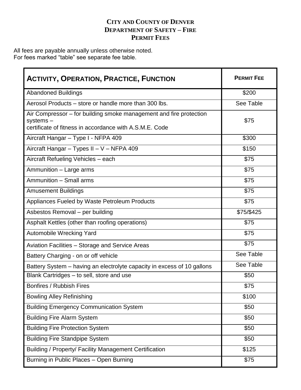### **CITY AND COUNTY OF DENVER DEPARTMENT OF SAFETY – FIRE PERMIT FEES**

All fees are payable annually unless otherwise noted. For fees marked "table" see separate fee table.

| <b>ACTIVITY, OPERATION, PRACTICE, FUNCTION</b>                                                                                            | <b>PERMIT FEE</b> |  |
|-------------------------------------------------------------------------------------------------------------------------------------------|-------------------|--|
| <b>Abandoned Buildings</b>                                                                                                                | \$200             |  |
| Aerosol Products – store or handle more than 300 lbs.                                                                                     | See Table         |  |
| Air Compressor – for building smoke management and fire protection<br>systems-<br>certificate of fitness in accordance with A.S.M.E. Code | \$75              |  |
| Aircraft Hangar - Type I - NFPA 409                                                                                                       | \$300             |  |
| Aircraft Hangar - Types II - V - NFPA 409                                                                                                 | \$150             |  |
| Aircraft Refueling Vehicles - each                                                                                                        | \$75              |  |
| Ammunition - Large arms                                                                                                                   | \$75              |  |
| Ammunition - Small arms                                                                                                                   | \$75              |  |
| <b>Amusement Buildings</b>                                                                                                                | \$75              |  |
| Appliances Fueled by Waste Petroleum Products                                                                                             | \$75              |  |
| Asbestos Removal - per building                                                                                                           | \$75/\$425        |  |
| Asphalt Kettles (other than roofing operations)                                                                                           | \$75              |  |
| Automobile Wrecking Yard                                                                                                                  | \$75              |  |
| Aviation Facilities - Storage and Service Areas                                                                                           | \$75              |  |
| Battery Charging - on or off vehicle                                                                                                      | See Table         |  |
| Battery System – having an electrolyte capacity in excess of 10 gallons                                                                   | See Table         |  |
| Blank Cartridges - to sell, store and use                                                                                                 | \$50              |  |
| Bonfires / Rubbish Fires                                                                                                                  | \$75              |  |
| <b>Bowling Alley Refinishing</b>                                                                                                          | \$100             |  |
| <b>Building Emergency Communication System</b>                                                                                            | \$50              |  |
| <b>Building Fire Alarm System</b>                                                                                                         | \$50              |  |
| <b>Building Fire Protection System</b>                                                                                                    | \$50              |  |
| <b>Building Fire Standpipe System</b>                                                                                                     | \$50              |  |
| Building / Property/ Facility Management Certification                                                                                    | \$125             |  |
| Burning in Public Places - Open Burning                                                                                                   | \$75              |  |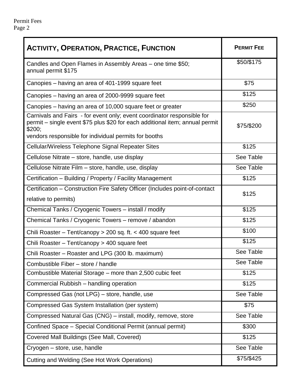| <b>ACTIVITY, OPERATION, PRACTICE, FUNCTION</b>                                                                                                                                                                             | <b>PERMIT FEE</b> |
|----------------------------------------------------------------------------------------------------------------------------------------------------------------------------------------------------------------------------|-------------------|
| Candles and Open Flames in Assembly Areas – one time \$50;<br>annual permit \$175                                                                                                                                          | \$50/\$175        |
| Canopies – having an area of 401-1999 square feet                                                                                                                                                                          | \$75              |
| Canopies – having an area of 2000-9999 square feet                                                                                                                                                                         | \$125             |
| Canopies – having an area of 10,000 square feet or greater                                                                                                                                                                 | \$250             |
| Carnivals and Fairs - for event only; event coordinator responsible for<br>permit – single event \$75 plus \$20 for each additional item; annual permit<br>\$200;<br>vendors responsible for individual permits for booths | \$75/\$200        |
| Cellular/Wireless Telephone Signal Repeater Sites                                                                                                                                                                          | \$125             |
| Cellulose Nitrate – store, handle, use display                                                                                                                                                                             | See Table         |
| Cellulose Nitrate Film – store, handle, use, display                                                                                                                                                                       | See Table         |
| \$125<br>Certification - Building / Property / Facility Management                                                                                                                                                         |                   |
| Certification – Construction Fire Safety Officer (Includes point-of-contact<br>relative to permits)                                                                                                                        | \$125             |
| Chemical Tanks / Cryogenic Towers - install / modify                                                                                                                                                                       | \$125             |
| Chemical Tanks / Cryogenic Towers - remove / abandon                                                                                                                                                                       | \$125             |
| \$100<br>Chili Roaster – Tent/canopy > 200 sq. ft. < 400 square feet                                                                                                                                                       |                   |
| \$125<br>Chili Roaster - Tent/canopy > 400 square feet                                                                                                                                                                     |                   |
| Chili Roaster - Roaster and LPG (300 lb. maximum)                                                                                                                                                                          | See Table         |
| Combustible Fiber - store / handle                                                                                                                                                                                         | See Table         |
| Combustible Material Storage - more than 2,500 cubic feet                                                                                                                                                                  | \$125             |
| Commercial Rubbish - handling operation                                                                                                                                                                                    | \$125             |
| Compressed Gas (not LPG) - store, handle, use                                                                                                                                                                              | See Table         |
| Compressed Gas System Installation (per system)                                                                                                                                                                            | \$75              |
| Compressed Natural Gas (CNG) - install, modify, remove, store                                                                                                                                                              | See Table         |
| Confined Space - Special Conditional Permit (annual permit)                                                                                                                                                                | \$300             |
| Covered Mall Buildings (See Mall, Covered)                                                                                                                                                                                 | \$125             |
| Cryogen - store, use, handle                                                                                                                                                                                               | See Table         |
| <b>Cutting and Welding (See Hot Work Operations)</b>                                                                                                                                                                       | \$75/\$425        |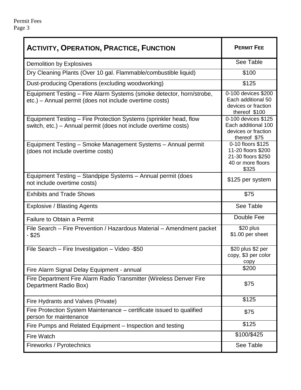| <b>ACTIVITY, OPERATION, PRACTICE, FUNCTION</b>                                                                                       | <b>PERMIT FEE</b>                                                                           |
|--------------------------------------------------------------------------------------------------------------------------------------|---------------------------------------------------------------------------------------------|
| Demolition by Explosives                                                                                                             | See Table                                                                                   |
| Dry Cleaning Plants (Over 10 gal. Flammable/combustible liquid)                                                                      | \$100                                                                                       |
| Dust-producing Operations (excluding woodworking)                                                                                    | \$125                                                                                       |
| Equipment Testing - Fire Alarm Systems (smoke detector, horn/strobe,<br>etc.) – Annual permit (does not include overtime costs)      | 0-100 devices \$200<br>Each additional 50<br>devices or fraction<br>thereof \$100           |
| Equipment Testing – Fire Protection Systems (sprinkler head, flow<br>switch, etc.) – Annual permit (does not include overtime costs) | 0-100 devices \$125<br>Each additional 100<br>devices or fraction<br>thereof \$75           |
| Equipment Testing - Smoke Management Systems - Annual permit<br>(does not include overtime costs)                                    | 0-10 floors \$125<br>11-20 floors \$200<br>21-30 floors \$250<br>40 or more floors<br>\$325 |
| Equipment Testing - Standpipe Systems - Annual permit (does<br>not include overtime costs)                                           | \$125 per system                                                                            |
| <b>Exhibits and Trade Shows</b>                                                                                                      | \$75                                                                                        |
| <b>Explosive / Blasting Agents</b>                                                                                                   | See Table                                                                                   |
| <b>Failure to Obtain a Permit</b>                                                                                                    | Double Fee                                                                                  |
| File Search - Fire Prevention / Hazardous Material - Amendment packet<br>$-$ \$25                                                    | \$20 plus<br>\$1.00 per sheet                                                               |
| File Search - Fire Investigation - Video -\$50                                                                                       | \$20 plus \$2 per<br>copy, \$3 per color<br>copy                                            |
| Fire Alarm Signal Delay Equipment - annual                                                                                           | \$200                                                                                       |
| Fire Department Fire Alarm Radio Transmitter (Wireless Denver Fire<br>Department Radio Box)                                          | \$75                                                                                        |
| Fire Hydrants and Valves (Private)                                                                                                   | \$125                                                                                       |
| Fire Protection System Maintenance – certificate issued to qualified<br>person for maintenance                                       | \$75                                                                                        |
| Fire Pumps and Related Equipment – Inspection and testing                                                                            | \$125                                                                                       |
| <b>Fire Watch</b>                                                                                                                    | \$100/\$425                                                                                 |
| Fireworks / Pyrotechnics                                                                                                             | See Table                                                                                   |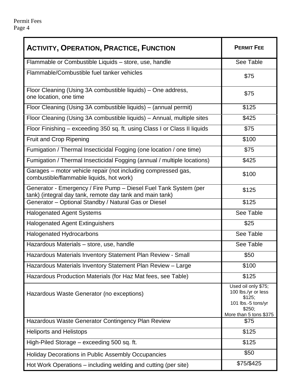| <b>ACTIVITY, OPERATION, PRACTICE, FUNCTION</b>                                                                               | <b>PERMIT FEE</b>                                                                                              |
|------------------------------------------------------------------------------------------------------------------------------|----------------------------------------------------------------------------------------------------------------|
| Flammable or Combustible Liquids - store, use, handle                                                                        | See Table                                                                                                      |
| Flammable/Combustible fuel tanker vehicles                                                                                   | \$75                                                                                                           |
| Floor Cleaning (Using 3A combustible liquids) – One address,<br>one location, one time                                       | \$75                                                                                                           |
| Floor Cleaning (Using 3A combustible liquids) – (annual permit)                                                              | \$125                                                                                                          |
| Floor Cleaning (Using 3A combustible liquids) - Annual, multiple sites                                                       | \$425                                                                                                          |
| Floor Finishing - exceeding 350 sq. ft. using Class I or Class II liquids                                                    | \$75                                                                                                           |
| Fruit and Crop Ripening                                                                                                      | \$100                                                                                                          |
| Fumigation / Thermal Insecticidal Fogging (one location / one time)                                                          | \$75                                                                                                           |
| Fumigation / Thermal Insecticidal Fogging (annual / multiple locations)                                                      | \$425                                                                                                          |
| Garages – motor vehicle repair (not including compressed gas,<br>combustible/flammable liquids, hot work)                    | \$100                                                                                                          |
| Generator - Emergency / Fire Pump - Diesel Fuel Tank System (per<br>tank) (integral day tank, remote day tank and main tank) | \$125                                                                                                          |
| Generator - Optional Standby / Natural Gas or Diesel<br>\$125                                                                |                                                                                                                |
| <b>Halogenated Agent Systems</b>                                                                                             | See Table                                                                                                      |
| <b>Halogenated Agent Extinguishers</b>                                                                                       | \$25                                                                                                           |
| Halogenated Hydrocarbons                                                                                                     | See Table                                                                                                      |
| Hazardous Materials - store, use, handle                                                                                     | See Table                                                                                                      |
| Hazardous Materials Inventory Statement Plan Review - Small                                                                  | \$50                                                                                                           |
| Hazardous Materials Inventory Statement Plan Review - Large                                                                  | \$100                                                                                                          |
| Hazardous Production Materials (for Haz Mat fees, see Table)                                                                 | \$125                                                                                                          |
| Hazardous Waste Generator (no exceptions)                                                                                    | Used oil only \$75;<br>100 lbs./yr or less<br>\$125;<br>101 lbs.-5 tons/yr<br>\$250;<br>More than 5 tons \$375 |
| Hazardous Waste Generator Contingency Plan Review                                                                            | \$75                                                                                                           |
| <b>Heliports and Helistops</b>                                                                                               | \$125                                                                                                          |
| High-Piled Storage - exceeding 500 sq. ft.                                                                                   | \$125                                                                                                          |
| Holiday Decorations in Public Assembly Occupancies                                                                           | \$50                                                                                                           |
| Hot Work Operations – including welding and cutting (per site)                                                               | \$75/\$425                                                                                                     |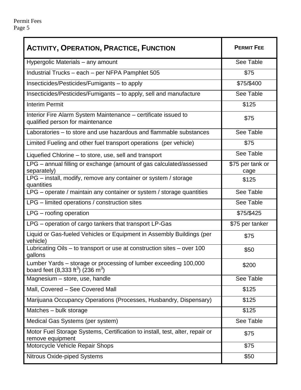| <b>ACTIVITY, OPERATION, PRACTICE, FUNCTION</b>                                                                                | <b>PERMIT FEE</b>        |
|-------------------------------------------------------------------------------------------------------------------------------|--------------------------|
| Hypergolic Materials – any amount                                                                                             | See Table                |
| Industrial Trucks - each - per NFPA Pamphlet 505                                                                              | \$75                     |
| Insecticides/Pesticides/Fumigants - to apply                                                                                  | \$75/\$400               |
| Insecticides/Pesticides/Fumigants - to apply, sell and manufacture                                                            | See Table                |
| <b>Interim Permit</b>                                                                                                         | \$125                    |
| Interior Fire Alarm System Maintenance - certificate issued to<br>qualified person for maintenance                            | \$75                     |
| Laboratories – to store and use hazardous and flammable substances                                                            | See Table                |
| Limited Fueling and other fuel transport operations (per vehicle)                                                             | \$75                     |
| Liquefied Chlorine – to store, use, sell and transport                                                                        | See Table                |
| LPG - annual filling or exchange (amount of gas calculated/assessed<br>separately)                                            | \$75 per tank or<br>cage |
| LPG - install, modify, remove any container or system / storage<br>quantities                                                 | \$125                    |
| LPG - operate / maintain any container or system / storage quantities                                                         | See Table                |
| LPG – limited operations / construction sites                                                                                 | See Table                |
| $LPG$ – roofing operation                                                                                                     | \$75/\$425               |
| LPG - operation of cargo tankers that transport LP-Gas                                                                        | \$75 per tanker          |
| Liquid or Gas-fueled Vehicles or Equipment in Assembly Buildings (per<br>vehicle)                                             | \$75                     |
| Lubricating Oils – to transport or use at construction sites – over 100<br>gallons                                            | \$50                     |
| Lumber Yards - storage or processing of lumber exceeding 100,000<br>board feet (8,333 ft <sup>3</sup> ) (236 m <sup>3</sup> ) | \$200                    |
| Magnesium - store, use, handle                                                                                                | See Table                |
| Mall, Covered - See Covered Mall                                                                                              | \$125                    |
| Marijuana Occupancy Operations (Processes, Husbandry, Dispensary)                                                             | \$125                    |
| Matches - bulk storage                                                                                                        | \$125                    |
| Medical Gas Systems (per system)                                                                                              | See Table                |
| Motor Fuel Storage Systems, Certification to install, test, alter, repair or<br>remove equipment                              | \$75                     |
| Motorcycle Vehicle Repair Shops                                                                                               | \$75                     |
| <b>Nitrous Oxide-piped Systems</b>                                                                                            | \$50                     |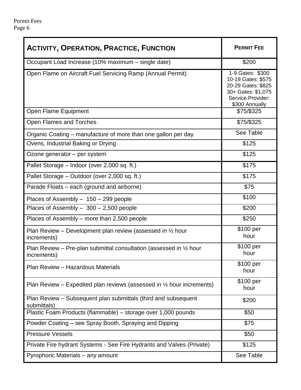| <b>ACTIVITY, OPERATION, PRACTICE, FUNCTION</b>                                               | <b>PERMIT FEE</b>                                                                                                         |
|----------------------------------------------------------------------------------------------|---------------------------------------------------------------------------------------------------------------------------|
| Occupant Load Increase (10% maximum – single date)                                           | \$200                                                                                                                     |
| Open Flame on Aircraft Fuel Servicing Ramp (Annual Permit)                                   | 1-9 Gates: \$300<br>10-19 Gates: \$575<br>20-29 Gates: \$825<br>30+ Gates: \$1,075<br>Service Provider:<br>\$300 Annually |
| Open Flame Equipment                                                                         | \$75/\$325                                                                                                                |
| <b>Open Flames and Torches</b>                                                               | \$75/\$325                                                                                                                |
| Organic Coating – manufacture of more than one gallon per day                                | See Table                                                                                                                 |
| Ovens, Industrial Baking or Drying                                                           | \$125                                                                                                                     |
| Ozone generator - per system                                                                 | \$125                                                                                                                     |
| Pallet Storage - Indoor (over 2,000 sq. ft.)                                                 | \$175                                                                                                                     |
| Pallet Storage – Outdoor (over 2,000 sq. ft.)                                                | \$175                                                                                                                     |
| Parade Floats – each (ground and airborne)                                                   | \$75                                                                                                                      |
| Places of Assembly - 150 - 299 people                                                        | \$100                                                                                                                     |
| Places of Assembly $-300 - 2,500$ people                                                     | \$200                                                                                                                     |
| Places of Assembly – more than 2,500 people                                                  | \$250                                                                                                                     |
| Plan Review – Development plan review (assessed in $\frac{1}{2}$ hour<br>increments)         | \$100 per<br>hour                                                                                                         |
| Plan Review – Pre-plan submittal consultation (assessed in $\frac{1}{2}$ hour<br>increments) | \$100 per<br>hour                                                                                                         |
| Plan Review - Hazardous Materials                                                            | \$100 per<br>hour                                                                                                         |
| Plan Review – Expedited plan reviews (assessed in $\frac{1}{2}$ hour increments)             | \$100 per<br>hour                                                                                                         |
| Plan Review - Subsequent plan submittals (third and subsequent<br>submittals)                | \$200                                                                                                                     |
| Plastic Foam Products (flammable) – storage over 1,000 pounds                                | \$50                                                                                                                      |
| Powder Coating – see Spray Booth, Spraying and Dipping                                       | \$75                                                                                                                      |
| <b>Pressure Vessels</b>                                                                      | \$50                                                                                                                      |
| Private Fire hydrant Systems - See Fire Hydrants and Valves (Private)                        | \$125                                                                                                                     |
| Pyrophoric Materials – any amount                                                            | See Table                                                                                                                 |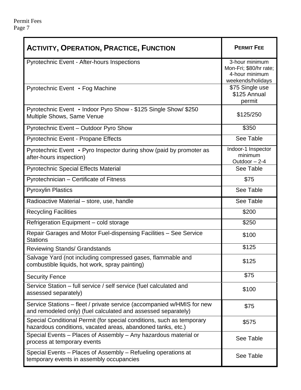| <b>ACTIVITY, OPERATION, PRACTICE, FUNCTION</b>                                                                                          | <b>PERMIT FEE</b>                                                               |
|-----------------------------------------------------------------------------------------------------------------------------------------|---------------------------------------------------------------------------------|
| <b>Pyrotechnic Event - After-hours Inspections</b>                                                                                      | 3-hour minimum<br>Mon-Fri; \$80/hr rate;<br>4-hour minimum<br>weekends/holidays |
| Pyrotechnic Event - Fog Machine                                                                                                         | \$75 Single use<br>\$125 Annual<br>permit                                       |
| Pyrotechnic Event - Indoor Pyro Show - \$125 Single Show/ \$250<br>Multiple Shows, Same Venue                                           | \$125/250                                                                       |
| Pyrotechnic Event - Outdoor Pyro Show                                                                                                   | \$350                                                                           |
| Pyrotechnic Event - Propane Effects                                                                                                     | See Table                                                                       |
| Pyrotechnic Event - Pyro Inspector during show (paid by promoter as<br>after-hours inspection)                                          | Indoor-1 Inspector<br>minimum<br>Outdoor - 2-4                                  |
| <b>Pyrotechnic Special Effects Material</b>                                                                                             | See Table                                                                       |
| Pyrotechnician - Certificate of Fitness                                                                                                 | \$75                                                                            |
| <b>Pyroxylin Plastics</b>                                                                                                               | See Table                                                                       |
| Radioactive Material - store, use, handle                                                                                               | See Table                                                                       |
| <b>Recycling Facilities</b>                                                                                                             | \$200                                                                           |
| Refrigeration Equipment - cold storage                                                                                                  | \$250                                                                           |
| Repair Garages and Motor Fuel-dispensing Facilities - See Service<br><b>Stations</b>                                                    | \$100                                                                           |
| <b>Reviewing Stands/ Grandstands</b>                                                                                                    | \$125                                                                           |
| Salvage Yard (not including compressed gases, flammable and<br>combustible liquids, hot work, spray painting)                           | \$125                                                                           |
| <b>Security Fence</b>                                                                                                                   | \$75                                                                            |
| Service Station - full service / self service (fuel calculated and<br>assessed separately)                                              | \$100                                                                           |
| Service Stations - fleet / private service (accompanied w/HMIS for new<br>and remodeled only) (fuel calculated and assessed separately) | \$75                                                                            |
| Special Conditional Permit (for special conditions, such as temporary<br>hazardous conditions, vacated areas, abandoned tanks, etc.)    | \$575                                                                           |
| Special Events - Places of Assembly - Any hazardous material or<br>process at temporary events                                          | See Table                                                                       |
| Special Events - Places of Assembly - Refueling operations at<br>temporary events in assembly occupancies                               | See Table                                                                       |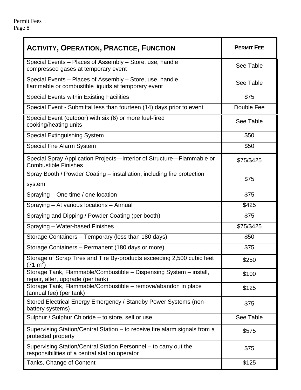| <b>ACTIVITY, OPERATION, PRACTICE, FUNCTION</b>                                                                     | <b>PERMIT FEE</b> |  |
|--------------------------------------------------------------------------------------------------------------------|-------------------|--|
| Special Events - Places of Assembly - Store, use, handle<br>compressed gases at temporary event                    | See Table         |  |
| Special Events - Places of Assembly - Store, use, handle<br>flammable or combustible liquids at temporary event    | See Table         |  |
| <b>Special Events within Existing Facilities</b>                                                                   | \$75              |  |
| Special Event - Submittal less than fourteen (14) days prior to event                                              | Double Fee        |  |
| Special Event (outdoor) with six (6) or more fuel-fired<br>cooking/heating units                                   | See Table         |  |
| <b>Special Extinguishing System</b>                                                                                | \$50              |  |
| <b>Special Fire Alarm System</b>                                                                                   | \$50              |  |
| Special Spray Application Projects-Interior of Structure-Flammable or<br><b>Combustible Finishes</b>               | \$75/\$425        |  |
| Spray Booth / Powder Coating – installation, including fire protection                                             | \$75              |  |
| system                                                                                                             |                   |  |
| Spraying - One time / one location                                                                                 | \$75              |  |
| Spraying - At various locations - Annual                                                                           | \$425             |  |
| Spraying and Dipping / Powder Coating (per booth)                                                                  | \$75              |  |
| \$75/\$425<br>Spraying - Water-based Finishes                                                                      |                   |  |
| Storage Containers - Temporary (less than 180 days)<br>\$50                                                        |                   |  |
| Storage Containers - Permanent (180 days or more)<br>\$75                                                          |                   |  |
| Storage of Scrap Tires and Tire By-products exceeding 2,500 cubic feet<br>$(71 \text{ m}^2)$                       | \$250             |  |
| Storage Tank, Flammable/Combustible - Dispensing System - install,<br>repair, alter, upgrade (per tank)            | \$100             |  |
| Storage Tank, Flammable/Combustible - remove/abandon in place<br>(annual fee) (per tank)                           | \$125             |  |
| Stored Electrical Energy Emergency / Standby Power Systems (non-<br>battery systems)                               | \$75              |  |
| Sulphur / Sulphur Chloride - to store, sell or use                                                                 | See Table         |  |
| Supervising Station/Central Station – to receive fire alarm signals from a<br>protected property                   | \$575             |  |
| Supervising Station/Central Station Personnel – to carry out the<br>responsibilities of a central station operator | \$75              |  |
| Tanks, Change of Content                                                                                           | \$125             |  |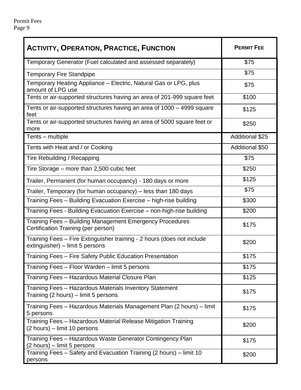| <b>ACTIVITY, OPERATION, PRACTICE, FUNCTION</b>                                                            | <b>PERMIT FEE</b>      |
|-----------------------------------------------------------------------------------------------------------|------------------------|
| Temporary Generator (Fuel calculated and assessed separately)                                             | \$75                   |
| <b>Temporary Fire Standpipe</b>                                                                           | \$75                   |
| Temporary Heating Appliance - Electric, Natural Gas or LPG, plus<br>amount of LPG use                     | \$75                   |
| Tents or air-supported structures having an area of 201-999 square feet                                   | \$100                  |
| Tents or air-supported structures having an area of 1000 – 4999 square<br>feet                            | \$125                  |
| Tents or air-supported structures having an area of 5000 square feet or<br>more                           | \$250                  |
| Tents - multiple                                                                                          | <b>Additional \$25</b> |
| Tents with Heat and / or Cooking                                                                          | Additional \$50        |
| Tire Rebuilding / Recapping                                                                               | \$75                   |
| Tire Storage – more than 2,500 cubic feet                                                                 | \$250                  |
| Trailer, Permanent (for human occupancy) - 180 days or more                                               | \$125                  |
| Trailer, Temporary (for human occupancy) – less than 180 days                                             | \$75                   |
| Training Fees - Building Evacuation Exercise - high-rise building                                         | \$300                  |
| Training Fees - Building Evacuation Exercise - non-high-rise building<br>\$200                            |                        |
| Training Fees - Building Management Emergency Procedures<br>Certification Training (per person)           | \$175                  |
| Training Fees - Fire Extinguisher training - 2 hours (does not include<br>extinguisher) – limit 5 persons | \$200                  |
| Training Fees - Fire Safety Public Education Presentation                                                 | \$175                  |
| Training Fees - Floor Warden - limit 5 persons                                                            | \$175                  |
| Training Fees - Hazardous Material Closure Plan                                                           | \$125                  |
| Training Fees - Hazardous Materials Inventory Statement<br>Training (2 hours) – limit 5 persons           | \$175                  |
| Training Fees - Hazardous Materials Management Plan (2 hours) - limit<br>5 persons                        | \$175                  |
| Training Fees - Hazardous Material Release Mitigation Training<br>(2 hours) – limit 10 persons            | \$200                  |
| Training Fees - Hazardous Waste Generator Contingency Plan<br>(2 hours) – limit 5 persons                 | \$175                  |
| Training Fees - Safety and Evacuation Training (2 hours) - limit 10<br>persons                            | \$200                  |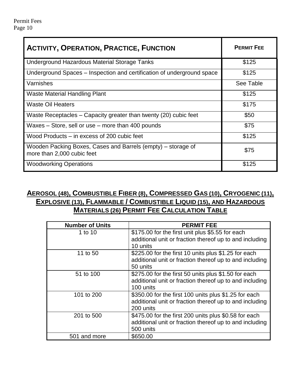| <b>ACTIVITY, OPERATION, PRACTICE, FUNCTION</b>                                             | <b>PERMIT FEE</b> |
|--------------------------------------------------------------------------------------------|-------------------|
| Underground Hazardous Material Storage Tanks                                               | \$125             |
| Underground Spaces – Inspection and certification of underground space                     | \$125             |
| Varnishes                                                                                  | See Table         |
| Waste Material Handling Plant                                                              | \$125             |
| <b>Waste Oil Heaters</b>                                                                   | \$175             |
| Waste Receptacles – Capacity greater than twenty (20) cubic feet                           | \$50              |
| Waxes – Store, sell or use – more than 400 pounds                                          | \$75              |
| Wood Products – in excess of 200 cubic feet                                                | \$125             |
| Wooden Packing Boxes, Cases and Barrels (empty) – storage of<br>more than 2,000 cubic feet | \$75              |
| <b>Woodworking Operations</b>                                                              | \$125             |

### **AEROSOL (48), COMBUSTIBLE FIBER (8), COMPRESSED GAS (10), CRYOGENIC (11), EXPLOSIVE (13), FLAMMABLE / COMBUSTIBLE LIQUID (15), AND HAZARDOUS MATERIALS (26) PERMIT FEE CALCULATION TABLE**

| <b>Number of Units</b> | <b>PERMIT FEE</b>                                                                                                             |
|------------------------|-------------------------------------------------------------------------------------------------------------------------------|
| 1 to 10                | \$175.00 for the first unit plus \$5.55 for each<br>additional unit or fraction thereof up to and including<br>10 units       |
| 11 to 50               | \$225.00 for the first 10 units plus \$1.25 for each<br>additional unit or fraction thereof up to and including<br>50 units   |
| 51 to 100              | \$275.00 for the first 50 units plus \$1.50 for each<br>additional unit or fraction thereof up to and including<br>100 units  |
| 101 to 200             | \$350.00 for the first 100 units plus \$1.25 for each<br>additional unit or fraction thereof up to and including<br>200 units |
| 201 to 500             | \$475.00 for the first 200 units plus \$0.58 for each<br>additional unit or fraction thereof up to and including<br>500 units |
| 501 and more           | \$650.00                                                                                                                      |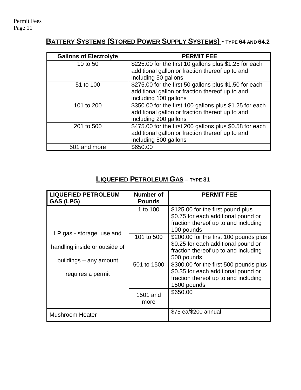# **BATTERY SYSTEMS (STORED POWER SUPPLY SYSTEMS) - TYPE 64 AND 64.2**

| <b>Gallons of Electrolyte</b> | <b>PERMIT FEE</b>                                       |
|-------------------------------|---------------------------------------------------------|
| 10 to 50                      | \$225.00 for the first 10 gallons plus \$1.25 for each  |
|                               | additional gallon or fraction thereof up to and         |
|                               | including 50 gallons                                    |
| 51 to 100                     | \$275.00 for the first 50 gallons plus \$1.50 for each  |
|                               | additional gallon or fraction thereof up to and         |
|                               | including 100 gallons                                   |
| 101 to 200                    | \$350.00 for the first 100 gallons plus \$1.25 for each |
|                               | additional gallon or fraction thereof up to and         |
|                               | including 200 gallons                                   |
| 201 to 500                    | \$475.00 for the first 200 gallons plus \$0.58 for each |
|                               | additional gallon or fraction thereof up to and         |
|                               | including 500 gallons                                   |
| 501 and more                  | \$650.00                                                |

# **LIQUEFIED PETROLEUM GAS – TYPE 31**

| <b>LIQUEFIED PETROLEUM</b><br>GAS (LPG)                    | Number of<br><b>Pounds</b> | <b>PERMIT FEE</b>                                                                                                                    |
|------------------------------------------------------------|----------------------------|--------------------------------------------------------------------------------------------------------------------------------------|
|                                                            | 1 to 100                   | \$125.00 for the first pound plus<br>\$0.75 for each additional pound or<br>fraction thereof up to and including<br>100 pounds       |
| LP gas - storage, use and<br>handling inside or outside of | 101 to 500                 | \$200.00 for the first 100 pounds plus<br>\$0.25 for each additional pound or<br>fraction thereof up to and including<br>500 pounds  |
| buildings – any amount<br>requires a permit                | 501 to 1500                | \$300.00 for the first 500 pounds plus<br>\$0.35 for each additional pound or<br>fraction thereof up to and including<br>1500 pounds |
|                                                            | 1501 and<br>more           | \$650.00                                                                                                                             |
| <b>Mushroom Heater</b>                                     |                            | \$75 ea/\$200 annual                                                                                                                 |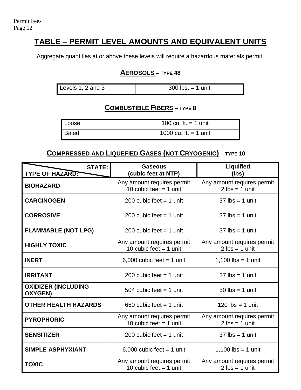# **TABLE – PERMIT LEVEL AMOUNTS AND EQUIVALENT UNITS**

Aggregate quantities at or above these levels will require a hazardous materials permit.

### **AEROSOLS – TYPE 48**

| Levels 1, 2 and 3<br>$300$ lbs. = 1 unit |
|------------------------------------------|
|------------------------------------------|

### **COMBUSTIBLE FIBERS – TYPE 8**

| Loose | 100 cu. ft. $=$ 1 unit  |
|-------|-------------------------|
| Baled | 1000 cu. ft. $=$ 1 unit |

### **COMPRESSED AND LIQUEFIED GASES (NOT CRYOGENIC) – TYPE 10**

| <b>STATE:</b><br><b>TYPE OF HAZARD:</b>      | <b>Gaseous</b><br>(cubic feet at NTP)                  | <b>Liquified</b><br>(lbs)                                      |
|----------------------------------------------|--------------------------------------------------------|----------------------------------------------------------------|
| <b>BIOHAZARD</b>                             | Any amount requires permit<br>10 cubic feet $=$ 1 unit | Any amount requires permit<br>$2$ lbs = 1 unit                 |
| <b>CARCINOGEN</b>                            | 200 cubic feet $=$ 1 unit                              | $37$ lbs = 1 unit                                              |
| <b>CORROSIVE</b>                             | 200 cubic feet $=$ 1 unit                              | $37$ lbs = 1 unit                                              |
| <b>FLAMMABLE (NOT LPG)</b>                   | 200 cubic feet $=$ 1 unit                              | $37$ lbs = 1 unit                                              |
| <b>HIGHLY TOXIC</b>                          | Any amount requires permit<br>10 cubic feet $=$ 1 unit | Any amount requires permit<br>$2 \text{ lbs} = 1 \text{ unit}$ |
| <b>INERT</b>                                 | 6,000 cubic feet $=$ 1 unit                            | 1,100 $\text{lbs} = 1$ unit                                    |
| <b>IRRITANT</b>                              | 200 cubic feet $=$ 1 unit                              | $37$ lbs = 1 unit                                              |
| <b>OXIDIZER (INCLUDING</b><br><b>OXYGEN)</b> | 504 cubic feet $=$ 1 unit                              | $50$ lbs = 1 unit                                              |
| <b>OTHER HEALTH HAZARDS</b>                  | 650 cubic feet $=$ 1 unit                              | $120$ lbs = 1 unit                                             |
| <b>PYROPHORIC</b>                            | Any amount requires permit<br>10 cubic feet $=$ 1 unit | Any amount requires permit<br>$2 \text{ lbs} = 1 \text{ unit}$ |
| <b>SENSITIZER</b>                            | 200 cubic feet $=$ 1 unit                              | $37$ lbs = 1 unit                                              |
| <b>SIMPLE ASPHYXIANT</b>                     | 6,000 cubic feet $=$ 1 unit                            | 1,100 $\text{lbs} = 1$ unit                                    |
| <b>TOXIC</b>                                 | Any amount requires permit<br>10 cubic feet $=$ 1 unit | Any amount requires permit<br>$2 \text{ lbs} = 1 \text{ unit}$ |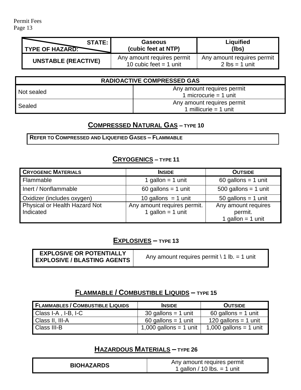Permit Fees Page 13

| <b>STATE:</b>              | <b>Gaseous</b>                                         | <b>Liquified</b>                                               |
|----------------------------|--------------------------------------------------------|----------------------------------------------------------------|
| <b>TYPE OF HAZARD:</b>     | (cubic feet at NTP)                                    | (lbs)                                                          |
| <b>UNSTABLE (REACTIVE)</b> | Any amount requires permit<br>10 cubic feet $=$ 1 unit | Any amount requires permit<br>$2 \text{ lbs} = 1 \text{ unit}$ |

| <b>RADIOACTIVE COMPRESSED GAS</b> |                                                       |  |
|-----------------------------------|-------------------------------------------------------|--|
| Not sealed                        | Any amount requires permit<br>1 microcurie = $1$ unit |  |
| Sealed                            | Any amount requires permit<br>1 millicurie = 1 unit   |  |

### **COMPRESSED NATURAL GAS – TYPE 10**

**REFER TO COMPRESSED AND LIQUEFIED GASES – FLAMMABLE**

#### **CRYOGENICS – TYPE 11**

| <b>CRYOGENIC MATERIALS</b>                 | <b>INSIDE</b>                                      | <b>OUTSIDE</b>                                        |
|--------------------------------------------|----------------------------------------------------|-------------------------------------------------------|
| <b>Flammable</b>                           | 1 gallon = $1$ unit                                | $60$ gallons = 1 unit                                 |
| Inert / Nonflammable                       | $60$ gallons = 1 unit                              | $500$ gallons = 1 unit                                |
| Oxidizer (includes oxygen)                 | 10 gallons $=$ 1 unit                              | $50$ gallons = 1 unit                                 |
| Physical or Health Hazard Not<br>Indicated | Any amount requires permit.<br>1 gallon = $1$ unit | Any amount requires<br>permit.<br>1 gallon = $1$ unit |

#### **EXPLOSIVES – TYPE 13**

| <b>EXPLOSIVE OR POTENTIALLY</b><br><b>EXPLOSIVE / BLASTING AGENTS</b> | Any amount requires permit $\setminus$ 1 lb. = 1 unit |
|-----------------------------------------------------------------------|-------------------------------------------------------|
|-----------------------------------------------------------------------|-------------------------------------------------------|

### **FLAMMABLE / COMBUSTIBLE LIQUIDS – TYPE 15**

| <b>FLAMMABLES / COMBUSTIBLE LIQUIDS</b> | <b>INSIDE</b>                          | <b>OUTSIDE</b>         |
|-----------------------------------------|----------------------------------------|------------------------|
| Class I-A, I-B, I-C                     | $30$ gallons = 1 unit                  | $60$ gallons = 1 unit  |
| Class II, III-A                         | $60$ gallons = 1 unit                  | 120 gallons = 1 unit   |
| <b>Class III-B</b>                      | $\vert$ 1,000 gallons = 1 unit $\vert$ | 1,000 gallons = 1 unit |

### **HAZARDOUS MATERIALS – TYPE 26**

| Any amount requires permit<br><b>BIOHAZARDS</b><br>1 gallon / 10 lbs. $=$ 1 unit |
|----------------------------------------------------------------------------------|
|----------------------------------------------------------------------------------|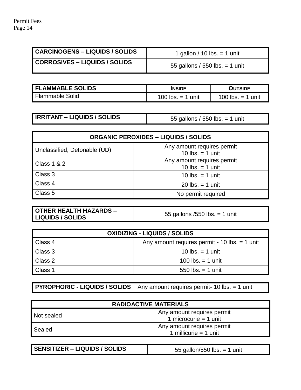$\overline{a}$ 

| <b>CARCINOGENS - LIQUIDS / SOLIDS</b> | 1 gallon / 10 lbs. = 1 unit      |
|---------------------------------------|----------------------------------|
| <b>CORROSIVES – LIQUIDS / SOLIDS</b>  | 55 gallons / 550 lbs. $=$ 1 unit |

| <b>FLAMMABLE SOLIDS</b> | <b>INSIDE</b>       | <b>OUTSIDE</b>      |
|-------------------------|---------------------|---------------------|
| <b>Flammable Solid</b>  | 100 lbs. $=$ 1 unit | 100 lbs. $=$ 1 unit |

**IRRITANT – LIQUIDS / SOLIDS** 65 gallons / 550 lbs. = 1 unit

| <b>ORGANIC PEROXIDES - LIQUIDS / SOLIDS</b> |                                                        |
|---------------------------------------------|--------------------------------------------------------|
| Unclassified, Detonable (UD)                | Any amount requires permit<br>10 $\text{lbs} = 1$ unit |
| <b>Class 1 &amp; 2</b>                      | Any amount requires permit<br>10 $\text{lbs} = 1$ unit |
| Class 3                                     | 10 $\text{lbs} = 1$ unit                               |
| Class 4                                     | $20$ lbs. = 1 unit                                     |
| Class 5                                     | No permit required                                     |

| <b>OTHER HEALTH HAZARDS -</b> |  |  |
|-------------------------------|--|--|
| <b>LIQUIDS / SOLIDS</b>       |  |  |

**LIQUIDS / SOLIDS** 55 gallons /550 lbs. = 1 unit

| <b>OXIDIZING - LIQUIDS / SOLIDS</b> |                                                 |
|-------------------------------------|-------------------------------------------------|
| Class 4                             | Any amount requires permit - 10 lbs. $=$ 1 unit |
| Class 3                             | 10 lbs. $=$ 1 unit                              |
| Class 2                             | 100 lbs. $=$ 1 unit                             |
| Class 1                             | 550 $\text{lbs} = 1$ unit                       |

**PYROPHORIC - LIQUIDS / SOLIDS** | Any amount requires permit- 10 lbs. = 1 unit

| <b>RADIOACTIVE MATERIALS</b> |                                                       |
|------------------------------|-------------------------------------------------------|
| Not sealed                   | Any amount requires permit<br>1 microcurie = $1$ unit |
| Sealed                       | Any amount requires permit<br>1 millicurie = $1$ unit |

| 55 gallon/550 lbs. $=$ 1 unit |
|-------------------------------|
|                               |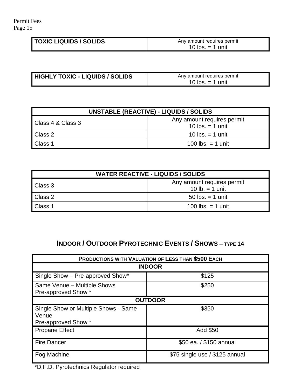| <b>TOXIC LIQUIDS / SOLIDS</b> | Any amount requires permit             |
|-------------------------------|----------------------------------------|
|                               | 10 $\mathsf{lbs}$ .<br>ı unit<br>$= 1$ |

| <b>HIGHLY TOXIC - LIQUIDS / SOLIDS</b> | Any amount requires permit |
|----------------------------------------|----------------------------|
|                                        | 10 lbs. $=$ 1 unit         |

| <b>UNSTABLE (REACTIVE) - LIQUIDS / SOLIDS</b> |                                                  |
|-----------------------------------------------|--------------------------------------------------|
| Class 4 & Class 3                             | Any amount requires permit<br>10 lbs. $=$ 1 unit |
| Class 2                                       | 10 lbs. $=$ 1 unit                               |
| Class 1                                       | 100 lbs. $=$ 1 unit                              |

| <b>WATER REACTIVE - LIQUIDS / SOLIDS</b> |                                                |
|------------------------------------------|------------------------------------------------|
| Class 3                                  | Any amount requires permit<br>10 $lb = 1$ unit |
| Class 2                                  | 50 lbs. $=$ 1 unit                             |
| Class 1                                  | 100 lbs. $=$ 1 unit                            |

# **INDOOR / OUTDOOR PYROTECHNIC EVENTS / SHOWS – TYPE 14**

| <b>PRODUCTIONS WITH VALUATION OF LESS THAN \$500 EACH</b>            |                                |  |
|----------------------------------------------------------------------|--------------------------------|--|
| <b>INDOOR</b>                                                        |                                |  |
| Single Show - Pre-approved Show*                                     | \$125                          |  |
| Same Venue - Multiple Shows<br>Pre-approved Show *                   | \$250                          |  |
| <b>OUTDOOR</b>                                                       |                                |  |
| Single Show or Multiple Shows - Same<br>Venue<br>Pre-approved Show * | \$350                          |  |
| <b>Propane Effect</b>                                                | Add \$50                       |  |
| <b>Fire Dancer</b>                                                   | \$50 ea. / \$150 annual        |  |
| Fog Machine                                                          | \$75 single use / \$125 annual |  |

\*D.F.D. Pyrotechnics Regulator required